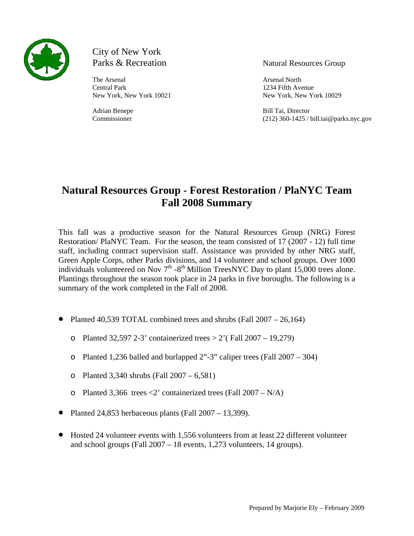

# City of New York

The Arsenal Arsenal Arsenal Arsenal North Central Park 1234 Fifth Avenue

### Parks & Recreation Natural Resources Group

New York, New York 10021 New York, New York 10029

Adrian Benepe Bill Tai, Director Commissioner (212) 360-1425 / bill.tai@parks.nyc.gov

# **Natural Resources Group - Forest Restoration / PlaNYC Team Fall 2008 Summary**

This fall was a productive season for the Natural Resources Group (NRG) Forest Restoration/ PlaNYC Team. For the season, the team consisted of 17 (2007 - 12) full time staff, including contract supervision staff. Assistance was provided by other NRG staff, Green Apple Corps, other Parks divisions, and 14 volunteer and school groups. Over 1000 individuals volunteered on Nov  $7<sup>th</sup> - 8<sup>th</sup>$  Million TreesNYC Day to plant 15,000 trees alone. Plantings throughout the season took place in 24 parks in five boroughs. The following is a summary of the work completed in the Fall of 2008.

- Planted 40,539 TOTAL combined trees and shrubs (Fall 2007 26,164)
	- o Planted 32,597 2-3' containerized trees  $> 2'$  (Fall 2007 19,279)
	- o Planted 1,236 balled and burlapped 2"-3" caliper trees (Fall 2007 304)
	- o Planted 3,340 shrubs (Fall 2007 6,581)
	- o Planted 3,366 trees  $\langle 2 \rangle$  containerized trees (Fall 2007 N/A)
- Planted 24,853 herbaceous plants (Fall  $2007 13,399$ ).
- Hosted 24 volunteer events with 1,556 volunteers from at least 22 different volunteer and school groups (Fall 2007 – 18 events, 1,273 volunteers, 14 groups).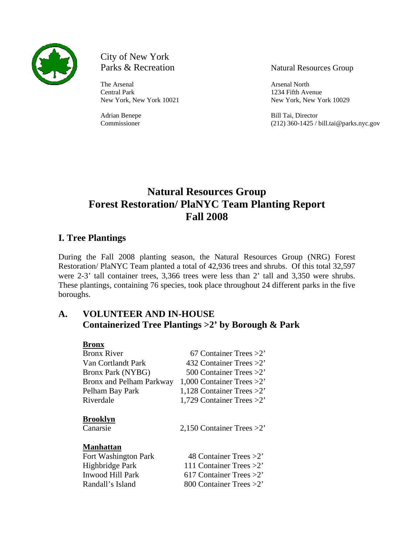

City of New York Parks & Recreation Natural Resources Group

The Arsenal Arsenal Arsenal Arsenal North Central Park 1234 Fifth Avenue

New York, New York 10021 New York, New York 10029

Adrian Benepe Bill Tai, Director Commissioner (212) 360-1425 / bill.tai@parks.nyc.gov

# **Forest Restoration/ PlaNYC Team Planting Report Fall 2008 Natural Resources Group**

# **. Tree Plantings I**

These plantings, containing 76 species, took place throughout 24 different parks in the five boroughs. During the Fall 2008 planting season, the Natural Resources Group (NRG) Forest Restoration/ PlaNYC Team planted a total of 42,936 trees and shrubs. Of this total 32,597 were 2-3' tall container trees, 3,366 trees were less than 2' tall and 3,350 were shrubs.

#### **A.** Containerized Tree Plantings > 2' by Borough & Park **VOLUNTEER AND IN-HOUSE**

| 67 Container Trees $>2$ '    |
|------------------------------|
| 432 Container Trees $>2$ '   |
| 500 Container Trees $>2$ '   |
| 1,000 Container Trees $>2$ ' |
| 1,128 Container Trees $>2$ ' |
| 1,729 Container Trees $>2$ ' |
| 2,150 Container Trees $>2$ ' |
|                              |
| 48 Container Trees $>2$ '    |
| 111 Container Trees $>2$ '   |
| 617 Container Trees $>2$ '   |
| 800 Container Trees $>2$ '   |
|                              |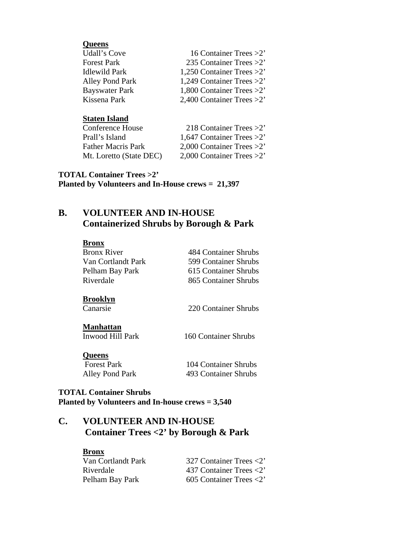| <b>Queens</b>          |                              |
|------------------------|------------------------------|
| <b>Udall's Cove</b>    | 16 Container Trees $>2$ '    |
| <b>Forest Park</b>     | 235 Container Trees $>2$ '   |
| <b>Idlewild Park</b>   | 1,250 Container Trees $>2$ ' |
| <b>Alley Pond Park</b> | 1,249 Container Trees $>2$ ' |
| <b>Bayswater Park</b>  | 1,800 Container Trees >2'    |
| Kissena Park           | 2,400 Container Trees $>2$ ' |

#### **Staten Island**

| Conference House          | 218 Container Trees $>2$ '   |
|---------------------------|------------------------------|
| Prall's Island            | 1,647 Container Trees $>2$ ' |
| <b>Father Macris Park</b> | 2,000 Container Trees $>2$ ' |
| Mt. Loretto (State DEC)   | 2,000 Container Trees $>2$ ' |

**OTAL Container Trees >2' T** Planted by Volunteers and In-House crews =  $21,397$ 

#### **. VOLUNTEER AND IN-HOUSE Containerized Shrubs by Borough & Park B**

| Bronx              |                      |
|--------------------|----------------------|
| <b>Bronx River</b> | 484 Container Shrubs |
| Van Cortlandt Park | 599 Container Shrubs |
| Pelham Bay Park    | 615 Container Shrubs |
| Riverdale          | 865 Container Shrubs |
|                    |                      |
| <b>Brooklyn</b>    |                      |
| Canarsie           | 220 Container Shrubs |
| <b>Manhattan</b>   |                      |
|                    |                      |
| Inwood Hill Park   | 160 Container Shrubs |
| <b>Queens</b>      |                      |
| <b>Forest Park</b> | 104 Container Shrubs |
| Alley Pond Park    | 493 Container Shrubs |

#### **OTAL Container Shrubs T** Planted by Volunteers and In-house crews = 3,540

#### **.**  Container Trees <2' by Borough & Park **C VOLUNTEER AND IN-HOUSE**

# **Bronx**

| Van Cortlandt Park | 327 Container Trees $\langle 2 \rangle$ |
|--------------------|-----------------------------------------|
| Riverdale          | 437 Container Trees $\langle 2 \rangle$ |
| Pelham Bay Park    | 605 Container Trees $\langle 2 \rangle$ |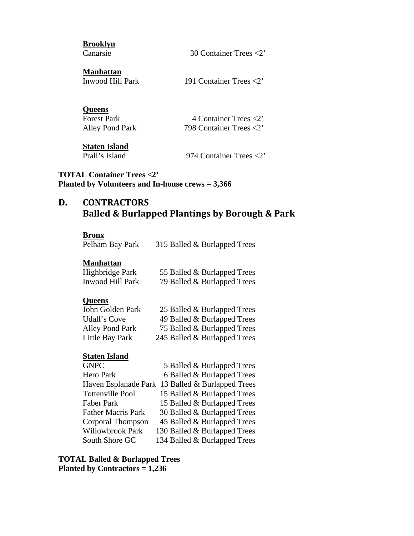| <b>Brooklyn</b><br>Canarsie                                             | 30 Container Trees $<$ 2'                                                        |
|-------------------------------------------------------------------------|----------------------------------------------------------------------------------|
| <b>Manhattan</b><br><b>Inwood Hill Park</b>                             | 191 Container Trees $\langle 2 \rangle$                                          |
| <b>Queens</b><br><b>Forest Park</b><br>Alley Pond Park<br>Staten Island | 4 Container Trees $\langle 2 \rangle$<br>798 Container Trees $\langle 2 \rangle$ |

Prall's Island 974 Container Trees <2'

# **TOTAL Container Trees <2'**  Planted by Volunteers and In-house crews  $= 3,366$

#### **. CONTRACTORS & Burlapped Plantings by Borough & Park Balled D**

#### **Bronx**

Pelham Bay Park 315 Balled & Burlapped Trees

#### **Manhattan**

| Highbridge Park  | 55 Balled & Burlapped Trees |
|------------------|-----------------------------|
| Inwood Hill Park | 79 Balled & Burlapped Trees |

#### **Queens**

| John Golden Park       | 25 Balled & Burlapped Trees  |
|------------------------|------------------------------|
| Udall's Cove           | 49 Balled & Burlapped Trees  |
| <b>Alley Pond Park</b> | 75 Balled & Burlapped Trees  |
| Little Bay Park        | 245 Balled & Burlapped Trees |

#### **<u>Staten Island</u>**

| <b>GNPC</b>               | 5 Balled & Burlapped Trees                       |
|---------------------------|--------------------------------------------------|
| Hero Park                 | 6 Balled & Burlapped Trees                       |
|                           | Haven Esplanade Park 13 Balled & Burlapped Trees |
| <b>Tottenville Pool</b>   | 15 Balled & Burlapped Trees                      |
| Faber Park                | 15 Balled & Burlapped Trees                      |
| <b>Father Macris Park</b> | 30 Balled & Burlapped Trees                      |
| Corporal Thompson         | 45 Balled & Burlapped Trees                      |
| Willowbrook Park          | 130 Balled & Burlapped Trees                     |
| South Shore GC            | 134 Balled & Burlapped Trees                     |
|                           |                                                  |

**OTAL Balled & Burlapped Trees T** Planted by Contractors  $= 1,236$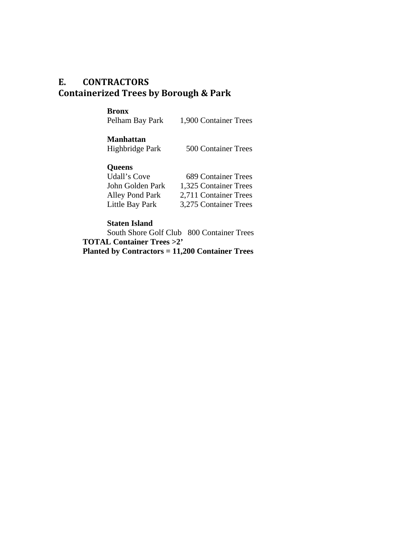# **E. CONTRACTORS Containerized Trees by Borough & Park**

## **Bronx**

1,900 Container Trees Pelham Bay P

# **Manhattan**

500 Container Trees Highbridge Park

# **Queens**

| Udall's Cove     | <b>689 Container Trees</b> |
|------------------|----------------------------|
| John Golden Park | 1,325 Container Trees      |
| Alley Pond Park  | 2,711 Container Trees      |
| Little Bay Park  | 3,275 Container Trees      |

#### **Staten Island**

**TOTAL Container Trees >2' Planted by Contractors = 11,200 Container Trees**  South Shore Golf Club 800 Container Trees